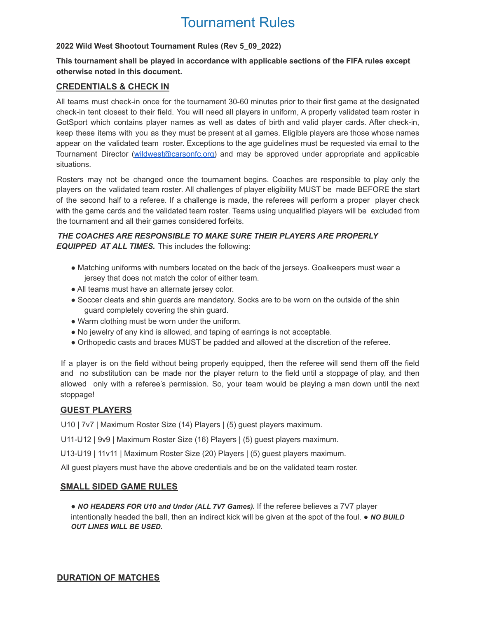# Tournament Rules

## **2022 Wild West Shootout Tournament Rules (Rev 5\_09\_2022)**

## **This tournament shall be played in accordance with applicable sections of the FIFA rules except otherwise noted in this document.**

## **CREDENTIALS & CHECK IN**

All teams must check-in once for the tournament 30-60 minutes prior to their first game at the designated check-in tent closest to their field. You will need all players in uniform, A properly validated team roster in GotSport which contains player names as well as dates of birth and valid player cards. After check-in, keep these items with you as they must be present at all games. Eligible players are those whose names appear on the validated team roster. Exceptions to the age guidelines must be requested via email to the Tournament Director (wildwest@carsonfc.org) and may be approved under appropriate and applicable situations.

Rosters may not be changed once the tournament begins. Coaches are responsible to play only the players on the validated team roster. All challenges of player eligibility MUST be made BEFORE the start of the second half to a referee. If a challenge is made, the referees will perform a proper player check with the game cards and the validated team roster. Teams using unqualified players will be excluded from the tournament and all their games considered forfeits.

## *THE COACHES ARE RESPONSIBLE TO MAKE SURE THEIR PLAYERS ARE PROPERLY EQUIPPED AT ALL TIMES.* This includes the following:

- Matching uniforms with numbers located on the back of the jerseys. Goalkeepers must wear a jersey that does not match the color of either team.
- All teams must have an alternate jersey color.
- Soccer cleats and shin guards are mandatory. Socks are to be worn on the outside of the shin guard completely covering the shin guard.
- Warm clothing must be worn under the uniform.
- No jewelry of any kind is allowed, and taping of earrings is not acceptable.
- Orthopedic casts and braces MUST be padded and allowed at the discretion of the referee.

If a player is on the field without being properly equipped, then the referee will send them off the field and no substitution can be made nor the player return to the field until a stoppage of play, and then allowed only with a referee's permission. So, your team would be playing a man down until the next stoppage!

# **GUEST PLAYERS**

U10 | 7v7 | Maximum Roster Size (14) Players | (5) guest players maximum.

U11-U12 | 9v9 | Maximum Roster Size (16) Players | (5) guest players maximum.

U13-U19 | 11v11 | Maximum Roster Size (20) Players | (5) guest players maximum.

All guest players must have the above credentials and be on the validated team roster.

## **SMALL SIDED GAME RULES**

● *NO HEADERS FOR U10 and Under (ALL 7V7 Games).* If the referee believes a 7V7 player intentionally headed the ball, then an indirect kick will be given at the spot of the foul. ● *NO BUILD OUT LINES WILL BE USED.*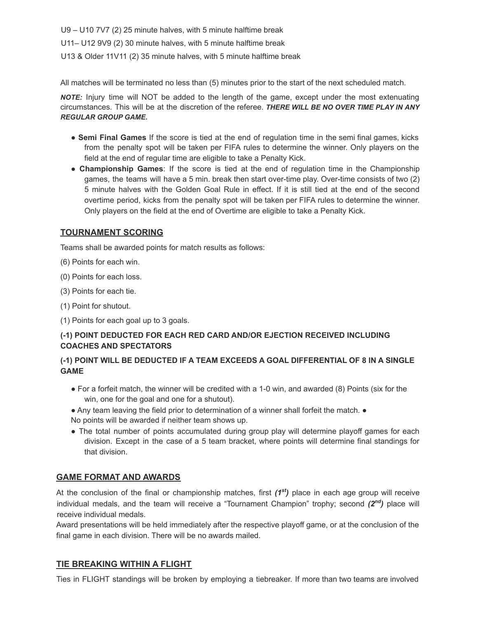U9 – U10 7V7 (2) 25 minute halves, with 5 minute halftime break U11– U12 9V9 (2) 30 minute halves, with 5 minute halftime break U13 & Older 11V11 (2) 35 minute halves, with 5 minute halftime break

All matches will be terminated no less than (5) minutes prior to the start of the next scheduled match.

*NOTE:* Injury time will NOT be added to the length of the game, except under the most extenuating circumstances. This will be at the discretion of the referee. *THERE WILL BE NO OVER TIME PLAY IN ANY REGULAR GROUP GAME.*

- **Semi Final Games** If the score is tied at the end of regulation time in the semi final games, kicks from the penalty spot will be taken per FIFA rules to determine the winner. Only players on the field at the end of regular time are eligible to take a Penalty Kick.
- **Championship Games**: If the score is tied at the end of regulation time in the Championship games, the teams will have a 5 min. break then start over-time play. Over-time consists of two (2) 5 minute halves with the Golden Goal Rule in effect. If it is still tied at the end of the second overtime period, kicks from the penalty spot will be taken per FIFA rules to determine the winner. Only players on the field at the end of Overtime are eligible to take a Penalty Kick.

## **TOURNAMENT SCORING**

Teams shall be awarded points for match results as follows:

- (6) Points for each win.
- (0) Points for each loss.
- (3) Points for each tie.
- (1) Point for shutout.
- (1) Points for each goal up to 3 goals.

# **(-1) POINT DEDUCTED FOR EACH RED CARD AND/OR EJECTION RECEIVED INCLUDING COACHES AND SPECTATORS**

## **(-1) POINT WILL BE DEDUCTED IF A TEAM EXCEEDS A GOAL DIFFERENTIAL OF 8 IN A SINGLE GAME**

- For a forfeit match, the winner will be credited with a 1-0 win, and awarded (8) Points (six for the win, one for the goal and one for a shutout).
- Any team leaving the field prior to determination of a winner shall forfeit the match. ●
- No points will be awarded if neither team shows up.
- The total number of points accumulated during group play will determine playoff games for each division. Except in the case of a 5 team bracket, where points will determine final standings for that division.

# **GAME FORMAT AND AWARDS**

At the conclusion of the final or championship matches, first (1<sup>st</sup>) place in each age group will receive individual medals, and the team will receive a "Tournament Champion" trophy; second (2<sup>nd</sup>) place will receive individual medals.

Award presentations will be held immediately after the respective playoff game, or at the conclusion of the final game in each division. There will be no awards mailed.

## **TIE BREAKING WITHIN A FLIGHT**

Ties in FLIGHT standings will be broken by employing a tiebreaker. If more than two teams are involved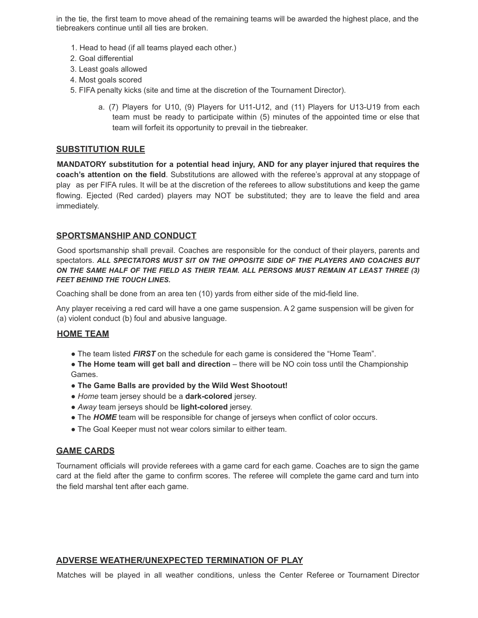in the tie, the first team to move ahead of the remaining teams will be awarded the highest place, and the tiebreakers continue until all ties are broken.

- 1. Head to head (if all teams played each other.)
- 2. Goal differential
- 3. Least goals allowed
- 4. Most goals scored
- 5. FIFA penalty kicks (site and time at the discretion of the Tournament Director).
	- a. (7) Players for U10, (9) Players for U11-U12, and (11) Players for U13-U19 from each team must be ready to participate within (5) minutes of the appointed time or else that team will forfeit its opportunity to prevail in the tiebreaker.

#### **SUBSTITUTION RULE**

**MANDATORY substitution for a potential head injury, AND for any player injured that requires the coach's attention on the field**. Substitutions are allowed with the referee's approval at any stoppage of play as per FIFA rules. It will be at the discretion of the referees to allow substitutions and keep the game flowing. Ejected (Red carded) players may NOT be substituted; they are to leave the field and area immediately.

#### **SPORTSMANSHIP AND CONDUCT**

Good sportsmanship shall prevail. Coaches are responsible for the conduct of their players, parents and spectators. *ALL SPECTATORS MUST SIT ON THE OPPOSITE SIDE OF THE PLAYERS AND COACHES BUT ON THE SAME HALF OF THE FIELD AS THEIR TEAM. ALL PERSONS MUST REMAIN AT LEAST THREE (3) FEET BEHIND THE TOUCH LINES.*

Coaching shall be done from an area ten (10) yards from either side of the mid-field line.

Any player receiving a red card will have a one game suspension. A 2 game suspension will be given for (a) violent conduct (b) foul and abusive language.

#### **HOME TEAM**

• The team listed **FIRST** on the schedule for each game is considered the "Home Team".

● **The Home team will get ball and direction** – there will be NO coin toss until the Championship Games.

- **The Game Balls are provided by the Wild West Shootout!**
- *Home* team jersey should be a **dark-colored** jersey.
- *Away* team jerseys should be **light-colored** jersey.
- The **HOME** team will be responsible for change of jerseys when conflict of color occurs.
- The Goal Keeper must not wear colors similar to either team.

## **GAME CARDS**

Tournament officials will provide referees with a game card for each game. Coaches are to sign the game card at the field after the game to confirm scores. The referee will complete the game card and turn into the field marshal tent after each game.

## **ADVERSE WEATHER/UNEXPECTED TERMINATION OF PLAY**

Matches will be played in all weather conditions, unless the Center Referee or Tournament Director